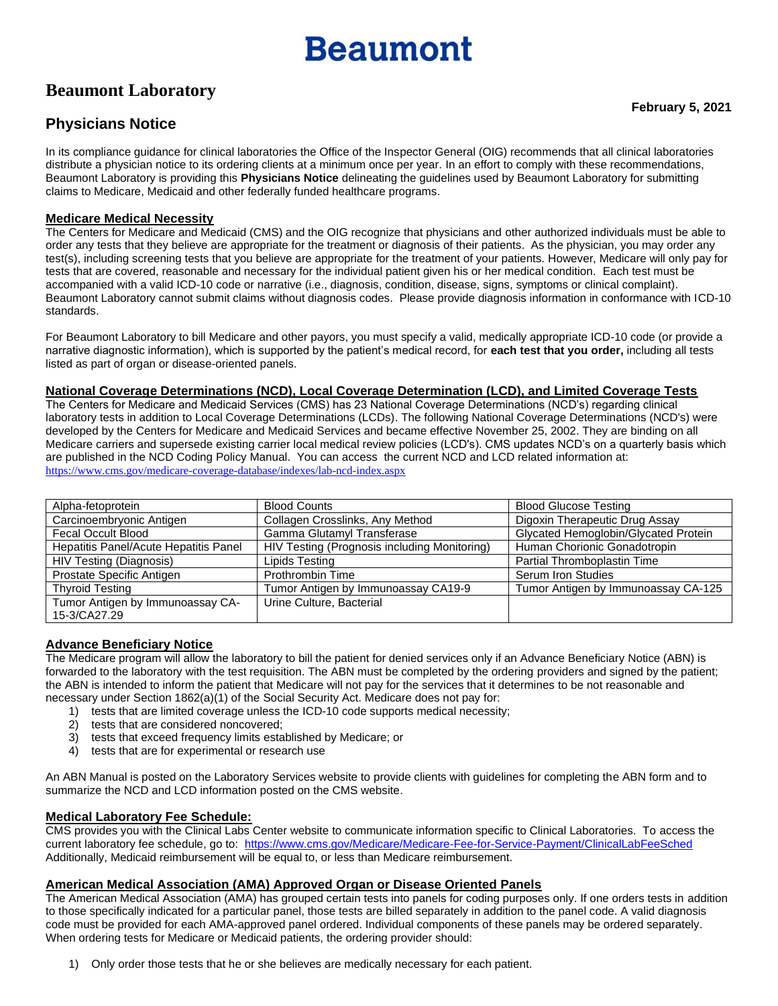# **Beaumont**

## **Beaumont Laboratory**

### **Physicians Notice**

In its compliance guidance for clinical laboratories the Office of the Inspector General (OIG) recommends that all clinical laboratories distribute a physician notice to its ordering clients at a minimum once per year. In an effort to comply with these recommendations, Beaumont Laboratory is providing this **Physicians Notice** delineating the guidelines used by Beaumont Laboratory for submitting claims to Medicare, Medicaid and other federally funded healthcare programs.

#### **Medicare Medical Necessity**

The Centers for Medicare and Medicaid (CMS) and the OIG recognize that physicians and other authorized individuals must be able to order any tests that they believe are appropriate for the treatment or diagnosis of their patients. As the physician, you may order any test(s), including screening tests that you believe are appropriate for the treatment of your patients. However, Medicare will only pay for tests that are covered, reasonable and necessary for the individual patient given his or her medical condition. Each test must be accompanied with a valid ICD-10 code or narrative (i.e., diagnosis, condition, disease, signs, symptoms or clinical complaint). Beaumont Laboratory cannot submit claims without diagnosis codes. Please provide diagnosis information in conformance with ICD-10 standards.

For Beaumont Laboratory to bill Medicare and other payors, you must specify a valid, medically appropriate ICD-10 code (or provide a narrative diagnostic information), which is supported by the patient's medical record, for **each test that you order,** including all tests listed as part of organ or disease-oriented panels.

#### **National Coverage Determinations (NCD), Local Coverage Determination (LCD), and Limited Coverage Tests**

The Centers for Medicare and Medicaid Services (CMS) has 23 National Coverage Determinations (NCD's) regarding clinical laboratory tests in addition to Local Coverage Determinations (LCDs). The following National Coverage Determinations (NCD's) were developed by the Centers for Medicare and Medicaid Services and became effective November 25, 2002. They are binding on all Medicare carriers and supersede existing carrier local medical review policies (LCD's). CMS updates NCD's on a quarterly basis which are published in the NCD Coding Policy Manual. You can access the current NCD and LCD related information at: <https://www.cms.gov/medicare-coverage-database/indexes/lab-ncd-index.aspx>

| Alpha-fetoprotein                     | <b>Blood Counts</b>                          | <b>Blood Glucose Testing</b>         |  |  |  |
|---------------------------------------|----------------------------------------------|--------------------------------------|--|--|--|
| Carcinoembryonic Antigen              | Collagen Crosslinks, Any Method              | Digoxin Therapeutic Drug Assay       |  |  |  |
| Fecal Occult Blood                    | Gamma Glutamyl Transferase                   | Glycated Hemoglobin/Glycated Protein |  |  |  |
| Hepatitis Panel/Acute Hepatitis Panel | HIV Testing (Prognosis including Monitoring) | Human Chorionic Gonadotropin         |  |  |  |
| HIV Testing (Diagnosis)               | Lipids Testing                               | Partial Thromboplastin Time          |  |  |  |
| Prostate Specific Antigen             | Prothrombin Time                             | Serum Iron Studies                   |  |  |  |
| <b>Thyroid Testing</b>                | Tumor Antigen by Immunoassay CA19-9          | Tumor Antigen by Immunoassay CA-125  |  |  |  |
| Tumor Antigen by Immunoassay CA-      | Urine Culture, Bacterial                     |                                      |  |  |  |
| 15-3/CA27.29                          |                                              |                                      |  |  |  |

#### **Advance Beneficiary Notice**

The Medicare program will allow the laboratory to bill the patient for denied services only if an Advance Beneficiary Notice (ABN) is forwarded to the laboratory with the test requisition. The ABN must be completed by the ordering providers and signed by the patient; the ABN is intended to inform the patient that Medicare will not pay for the services that it determines to be not reasonable and necessary under Section 1862(a)(1) of the Social Security Act. Medicare does not pay for:

- 1) tests that are limited coverage unless the ICD-10 code supports medical necessity;
- 2) tests that are considered noncovered;
- 3) tests that exceed frequency limits established by Medicare; or
- 4) tests that are for experimental or research use

An ABN Manual is posted on the Laboratory Services website to provide clients with guidelines for completing the ABN form and to summarize the NCD and LCD information posted on the CMS website.

#### **Medical Laboratory Fee Schedule:**

CMS provides you with the Clinical Labs Center website to communicate information specific to Clinical Laboratories. To access the current laboratory fee schedule, go to:<https://www.cms.gov/Medicare/Medicare-Fee-for-Service-Payment/ClinicalLabFeeSched> Additionally, Medicaid reimbursement will be equal to, or less than Medicare reimbursement.

#### **American Medical Association (AMA) Approved Organ or Disease Oriented Panels**

The American Medical Association (AMA) has grouped certain tests into panels for coding purposes only. If one orders tests in addition to those specifically indicated for a particular panel, those tests are billed separately in addition to the panel code. A valid diagnosis code must be provided for each AMA-approved panel ordered. Individual components of these panels may be ordered separately. When ordering tests for Medicare or Medicaid patients, the ordering provider should:

1) Only order those tests that he or she believes are medically necessary for each patient.